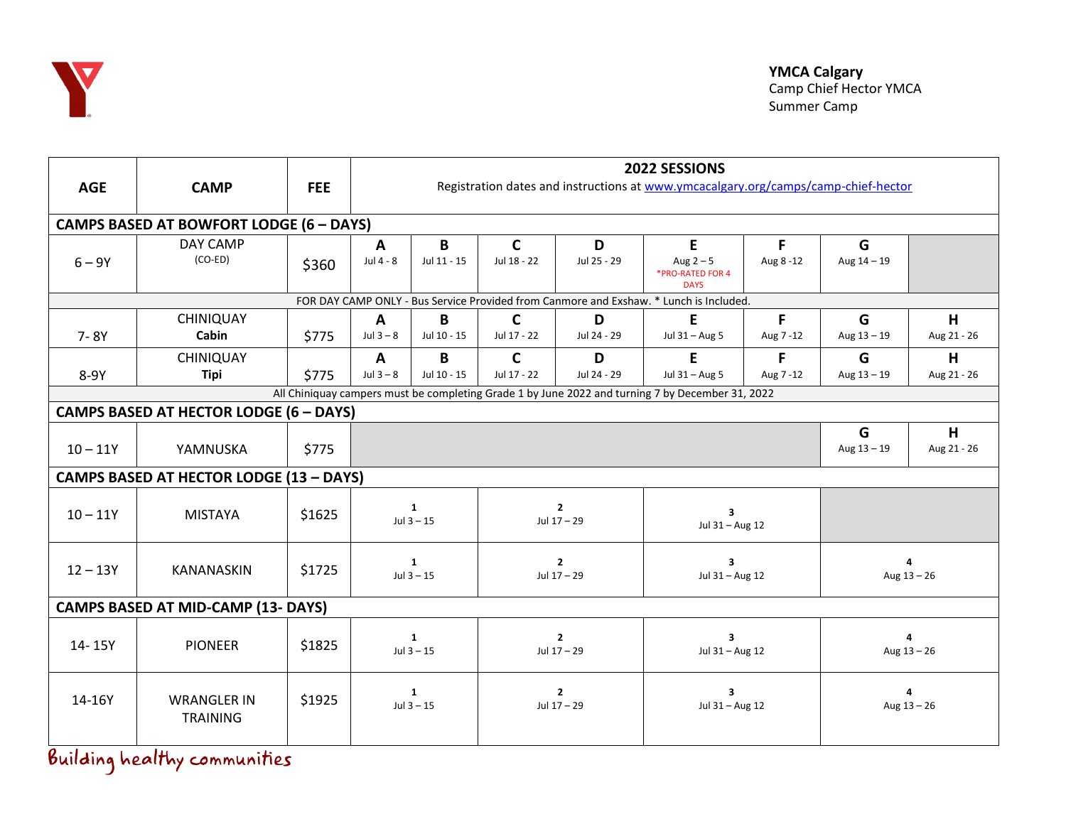

| <b>AGE</b>                                                                                       | <b>CAMP</b>                           | <b>FEE</b> | 2022 SESSIONS<br>Registration dates and instructions at www.ymcacalgary.org/camps/camp-chief-hector |                  |                               |                  |                                                   |               |                    |                  |  |  |
|--------------------------------------------------------------------------------------------------|---------------------------------------|------------|-----------------------------------------------------------------------------------------------------|------------------|-------------------------------|------------------|---------------------------------------------------|---------------|--------------------|------------------|--|--|
|                                                                                                  |                                       |            |                                                                                                     |                  |                               |                  |                                                   |               |                    |                  |  |  |
| <b>CAMPS BASED AT BOWFORT LODGE (6 - DAYS)</b>                                                   |                                       |            |                                                                                                     |                  |                               |                  |                                                   |               |                    |                  |  |  |
| $6 - 9Y$                                                                                         | DAY CAMP<br>$(CO-ED)$                 | \$360      | A<br>Jul 4 - 8                                                                                      | B<br>Jul 11 - 15 | $\mathbf{C}$<br>Jul 18 - 22   | D<br>Jul 25 - 29 | E<br>Aug $2-5$<br>*PRO-RATED FOR 4<br><b>DAYS</b> | F<br>Aug 8-12 | G<br>Aug $14 - 19$ |                  |  |  |
| FOR DAY CAMP ONLY - Bus Service Provided from Canmore and Exshaw. * Lunch is Included.           |                                       |            |                                                                                                     |                  |                               |                  |                                                   |               |                    |                  |  |  |
| $7 - 8Y$                                                                                         | CHINIQUAY<br>Cabin                    | \$775      | A<br>Jul $3 - 8$                                                                                    | B<br>Jul 10 - 15 | $\mathbf{C}$<br>Jul 17 - 22   | D<br>Jul 24 - 29 | E<br>Jul 31 - Aug 5                               | F<br>Aug 7-12 | G<br>Aug $13 - 19$ | H<br>Aug 21 - 26 |  |  |
| 8-9Y                                                                                             | CHINIQUAY<br>Tipi                     | \$775      | A<br>Jul $3-8$                                                                                      | B<br>Jul 10 - 15 | $\mathbf{C}$<br>Jul 17 - 22   | D<br>Jul 24 - 29 | E<br>Jul 31 - Aug 5                               | F<br>Aug 7-12 | G<br>Aug $13 - 19$ | H<br>Aug 21 - 26 |  |  |
| All Chiniquay campers must be completing Grade 1 by June 2022 and turning 7 by December 31, 2022 |                                       |            |                                                                                                     |                  |                               |                  |                                                   |               |                    |                  |  |  |
| <b>CAMPS BASED AT HECTOR LODGE (6 - DAYS)</b>                                                    |                                       |            |                                                                                                     |                  |                               |                  |                                                   |               |                    |                  |  |  |
| $10 - 11Y$                                                                                       | YAMNUSKA                              | \$775      |                                                                                                     |                  |                               |                  |                                                   |               | G<br>Aug $13 - 19$ | H<br>Aug 21 - 26 |  |  |
| <b>CAMPS BASED AT HECTOR LODGE (13 - DAYS)</b>                                                   |                                       |            |                                                                                                     |                  |                               |                  |                                                   |               |                    |                  |  |  |
| $10 - 11Y$                                                                                       | <b>MISTAYA</b>                        | \$1625     | 1<br>$Jul 3 - 15$                                                                                   |                  | $\mathbf{2}$<br>Jul 17 - 29   |                  | $\overline{\mathbf{3}}$<br>Jul 31 - Aug 12        |               |                    |                  |  |  |
| $12 - 13Y$                                                                                       | KANANASKIN                            | \$1725     | $\mathbf{1}$<br>$Jul 3 - 15$                                                                        |                  | $\overline{2}$<br>Jul 17 - 29 |                  | 3<br>Jul 31 - Aug 12                              |               | Aug $13 - 26$      |                  |  |  |
| <b>CAMPS BASED AT MID-CAMP (13- DAYS)</b>                                                        |                                       |            |                                                                                                     |                  |                               |                  |                                                   |               |                    |                  |  |  |
| 14-15Y                                                                                           | <b>PIONEER</b>                        | \$1825     | $\mathbf{1}$<br>Jul $3 - 15$                                                                        |                  | $\overline{2}$<br>Jul 17 - 29 |                  | $\overline{\mathbf{3}}$<br>Jul 31 - Aug 12        |               | 4<br>Aug $13 - 26$ |                  |  |  |
| 14-16Y                                                                                           | <b>WRANGLER IN</b><br><b>TRAINING</b> | \$1925     | 1<br>Jul $3 - 15$                                                                                   |                  | $\overline{2}$<br>Jul 17 - 29 |                  | 3<br>Jul 31 - Aug 12                              |               | 4<br>Aug $13 - 26$ |                  |  |  |

Building healthy communities